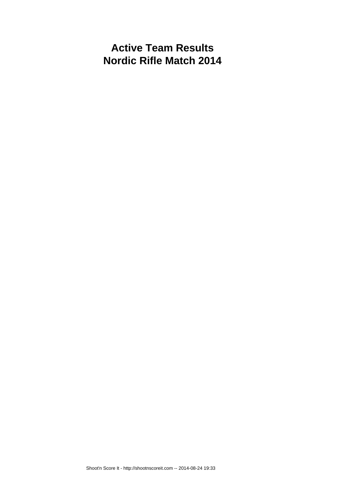# **Active Team Results Nordic Rifle Match 2014**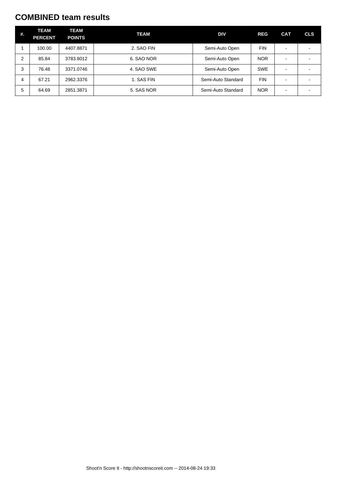#### **COMBINED team results**

| #. | <b>TEAM</b><br><b>PERCENT</b> | <b>TEAM</b><br><b>POINTS</b> | <b>TEAM</b> | DIV                | <b>REG</b> | <b>CAT</b>               | <b>CLS</b> |
|----|-------------------------------|------------------------------|-------------|--------------------|------------|--------------------------|------------|
|    | 100.00                        | 4407.8871                    | 2. SAO FIN  | Semi-Auto Open     | <b>FIN</b> |                          |            |
| 2  | 85.84                         | 3783.8012                    | 6. SAO NOR  | Semi-Auto Open     | <b>NOR</b> | $\overline{\phantom{0}}$ |            |
| 3  | 76.48                         | 3371.0746                    | 4. SAO SWE  | Semi-Auto Open     | <b>SWE</b> |                          |            |
| 4  | 67.21                         | 2962.3376                    | 1. SAS FIN  | Semi-Auto Standard | <b>FIN</b> |                          |            |
| 5  | 64.69                         | 2851.3871                    | 5. SAS NOR  | Semi-Auto Standard | <b>NOR</b> |                          |            |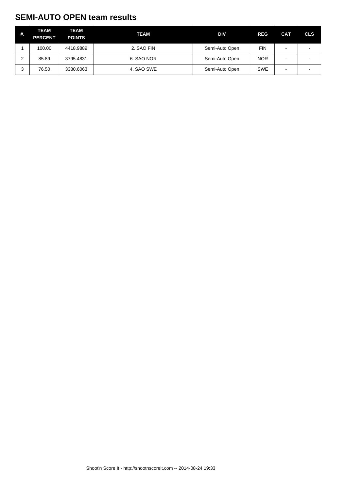## **SEMI-AUTO OPEN team results**

| #. | <b>TEAM</b><br><b>PERCENT</b> | <b>TEAM</b><br><b>POINTS</b> | TEAM       | <b>DIV</b>     | <b>REG</b> | <b>CAT</b>               | <b>CLS</b> |
|----|-------------------------------|------------------------------|------------|----------------|------------|--------------------------|------------|
|    | 100.00                        | 4418.9889                    | 2. SAO FIN | Semi-Auto Open | <b>FIN</b> | $\overline{\phantom{0}}$ |            |
|    | 85.89                         | 3795.4831                    | 6. SAO NOR | Semi-Auto Open | <b>NOR</b> | $\overline{\phantom{0}}$ |            |
|    | 76.50                         | 3380.6063                    | 4. SAO SWE | Semi-Auto Open | <b>SWE</b> | $\overline{\phantom{0}}$ |            |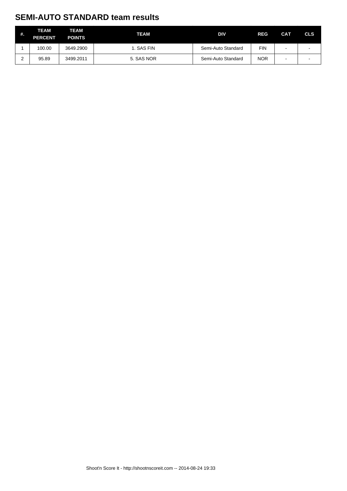## **SEMI-AUTO STANDARD team results**

| #. | <b>TEAM</b><br><b>PERCENT</b> | <b>TEAM</b><br><b>POINTS</b> | <b>TEAM</b> | <b>DIV</b>         | <b>REG</b> | <b>CAT</b> | <b>CLS</b> |
|----|-------------------------------|------------------------------|-------------|--------------------|------------|------------|------------|
|    | 100.00                        | 3649.2900                    | 1. SAS FIN  | Semi-Auto Standard | FIN        | -          |            |
|    | 95.89                         | 3499.2011                    | 5. SAS NOR  | Semi-Auto Standard | <b>NOR</b> | -          |            |